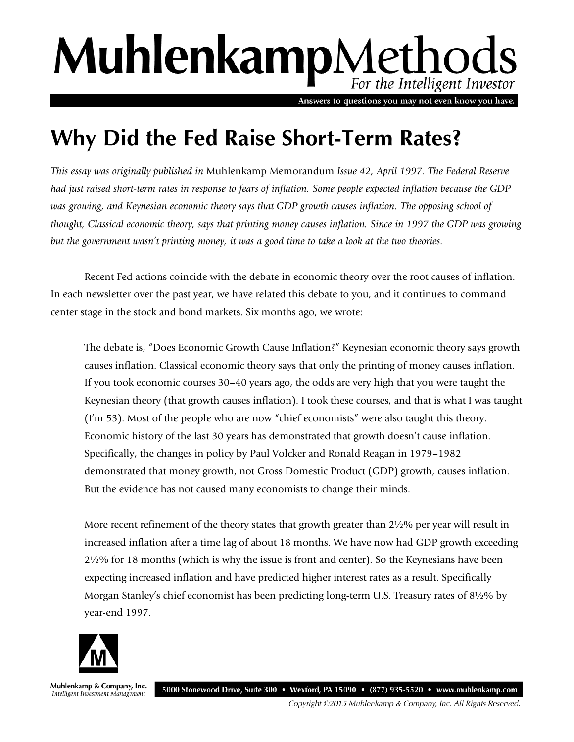## MuhlenkampMethod For the Intelligent Investor

Answers to questions you may not even know you have.

## **Why Did the Fed Raise Short-Term Rates?**

*This essay was originally published in* Muhlenkamp Memorandum *Issue 42, April 1997. The Federal Reserve had just raised short-term rates in response to fears of inflation. Some people expected inflation because the GDP was growing, and Keynesian economic theory says that GDP growth causes inflation. The opposing school of thought, Classical economic theory, says that printing money causes inflation. Since in 1997 the GDP was growing but the government wasn't printing money, it was a good time to take a look at the two theories.* 

Recent Fed actions coincide with the debate in economic theory over the root causes of inflation. In each newsletter over the past year, we have related this debate to you, and it continues to command center stage in the stock and bond markets. Six months ago, we wrote:

The debate is, "Does Economic Growth Cause Inflation?" Keynesian economic theory says growth causes inflation. Classical economic theory says that only the printing of money causes inflation. If you took economic courses 30–40 years ago, the odds are very high that you were taught the Keynesian theory (that growth causes inflation). I took these courses, and that is what I was taught (I'm 53). Most of the people who are now "chief economists" were also taught this theory. Economic history of the last 30 years has demonstrated that growth doesn't cause inflation. Specifically, the changes in policy by Paul Volcker and Ronald Reagan in 1979–1982 demonstrated that money growth, not Gross Domestic Product (GDP) growth, causes inflation. But the evidence has not caused many economists to change their minds.

More recent refinement of the theory states that growth greater than 2½% per year will result in increased inflation after a time lag of about 18 months. We have now had GDP growth exceeding 2½% for 18 months (which is why the issue is front and center). So the Keynesians have been expecting increased inflation and have predicted higher interest rates as a result. Specifically Morgan Stanley's chief economist has been predicting long-term U.S. Treasury rates of 8½% by year-end 1997.



Muhlenkamp & Company, Inc. Intelligent Investment Management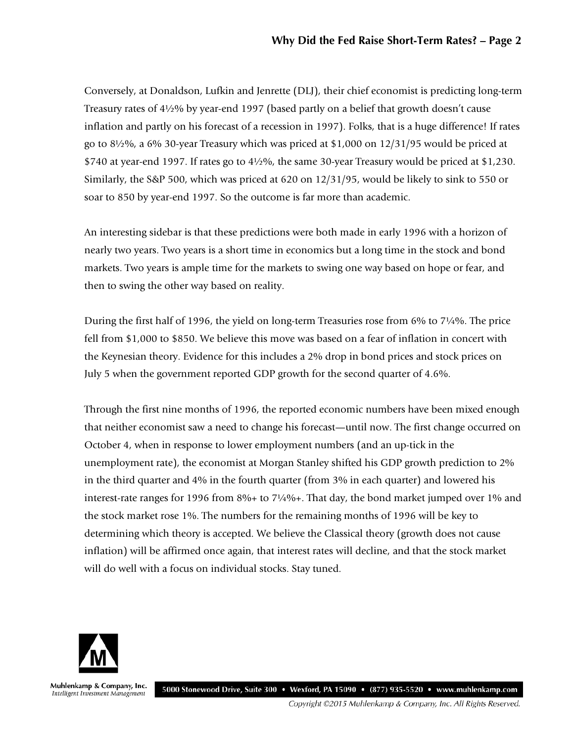Conversely, at Donaldson, Lufkin and Jenrette (DLJ), their chief economist is predicting long-term Treasury rates of 4½% by year-end 1997 (based partly on a belief that growth doesn't cause inflation and partly on his forecast of a recession in 1997). Folks, that is a huge difference! If rates go to 8½%, a 6% 30-year Treasury which was priced at \$1,000 on 12/31/95 would be priced at \$740 at year-end 1997. If rates go to 4½%, the same 30-year Treasury would be priced at \$1,230. Similarly, the S&P 500, which was priced at 620 on 12/31/95, would be likely to sink to 550 or soar to 850 by year-end 1997. So the outcome is far more than academic.

An interesting sidebar is that these predictions were both made in early 1996 with a horizon of nearly two years. Two years is a short time in economics but a long time in the stock and bond markets. Two years is ample time for the markets to swing one way based on hope or fear, and then to swing the other way based on reality.

During the first half of 1996, the yield on long-term Treasuries rose from 6% to 7¼%. The price fell from \$1,000 to \$850. We believe this move was based on a fear of inflation in concert with the Keynesian theory. Evidence for this includes a 2% drop in bond prices and stock prices on July 5 when the government reported GDP growth for the second quarter of 4.6%.

Through the first nine months of 1996, the reported economic numbers have been mixed enough that neither economist saw a need to change his forecast—until now. The first change occurred on October 4, when in response to lower employment numbers (and an up-tick in the unemployment rate), the economist at Morgan Stanley shifted his GDP growth prediction to 2% in the third quarter and 4% in the fourth quarter (from 3% in each quarter) and lowered his interest-rate ranges for 1996 from 8%+ to 7¼%+. That day, the bond market jumped over 1% and the stock market rose 1%. The numbers for the remaining months of 1996 will be key to determining which theory is accepted. We believe the Classical theory (growth does not cause inflation) will be affirmed once again, that interest rates will decline, and that the stock market will do well with a focus on individual stocks. Stay tuned.



Muhlenkamp & Company, Inc. 5000 Stonewood Drive, Suite 300 • Wexford, PA 15090 • (877) 935-5520 • www.muhlenkamp.com Intelligent Investment Management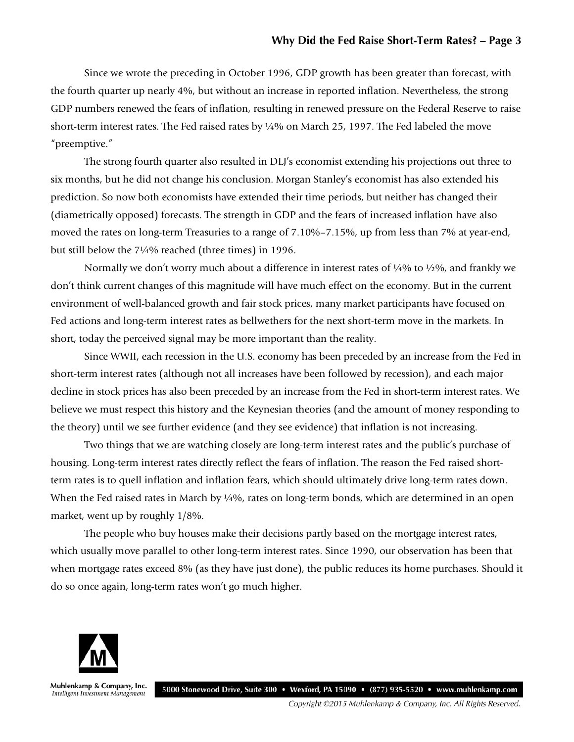Since we wrote the preceding in October 1996, GDP growth has been greater than forecast, with the fourth quarter up nearly 4%, but without an increase in reported inflation. Nevertheless, the strong GDP numbers renewed the fears of inflation, resulting in renewed pressure on the Federal Reserve to raise short-term interest rates. The Fed raised rates by  $\frac{1}{4\%}$  on March 25, 1997. The Fed labeled the move "preemptive."

The strong fourth quarter also resulted in DLJ's economist extending his projections out three to six months, but he did not change his conclusion. Morgan Stanley's economist has also extended his prediction. So now both economists have extended their time periods, but neither has changed their (diametrically opposed) forecasts. The strength in GDP and the fears of increased inflation have also moved the rates on long-term Treasuries to a range of 7.10%–7.15%, up from less than 7% at year-end, but still below the 7¼% reached (three times) in 1996.

Normally we don't worry much about a difference in interest rates of 1/4% to 1/2%, and frankly we don't think current changes of this magnitude will have much effect on the economy. But in the current environment of well-balanced growth and fair stock prices, many market participants have focused on Fed actions and long-term interest rates as bellwethers for the next short-term move in the markets. In short, today the perceived signal may be more important than the reality.

Since WWII, each recession in the U.S. economy has been preceded by an increase from the Fed in short-term interest rates (although not all increases have been followed by recession), and each major decline in stock prices has also been preceded by an increase from the Fed in short-term interest rates. We believe we must respect this history and the Keynesian theories (and the amount of money responding to the theory) until we see further evidence (and they see evidence) that inflation is not increasing.

Two things that we are watching closely are long-term interest rates and the public's purchase of housing. Long-term interest rates directly reflect the fears of inflation. The reason the Fed raised shortterm rates is to quell inflation and inflation fears, which should ultimately drive long-term rates down. When the Fed raised rates in March by 1/4%, rates on long-term bonds, which are determined in an open market, went up by roughly 1/8%.

The people who buy houses make their decisions partly based on the mortgage interest rates, which usually move parallel to other long-term interest rates. Since 1990, our observation has been that when mortgage rates exceed 8% (as they have just done), the public reduces its home purchases. Should it do so once again, long-term rates won't go much higher.



Muhlenkamp & Company, Inc. 5000 Stonewood Drive, Suite 300 • Wexford, PA 15090 • (877) 935-5520 • www.muhlenkamp.com Intelligent Investment Management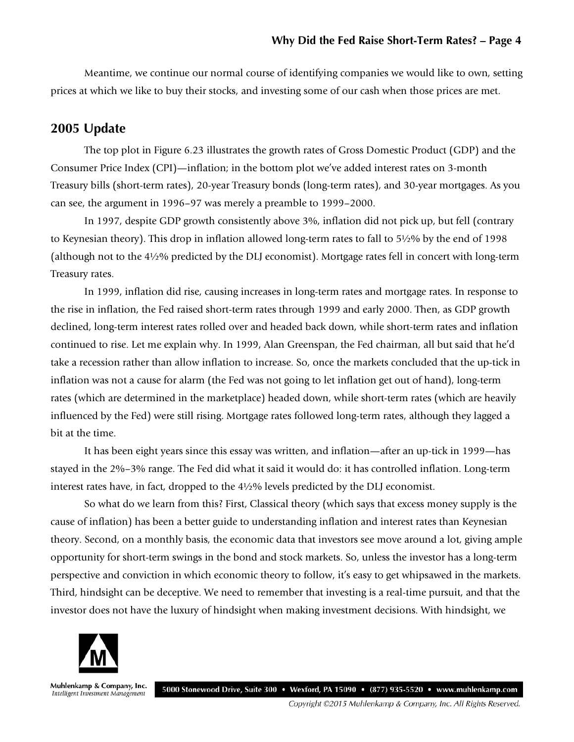Meantime, we continue our normal course of identifying companies we would like to own, setting prices at which we like to buy their stocks, and investing some of our cash when those prices are met.

## **2005 Update**

The top plot in Figure 6.23 illustrates the growth rates of Gross Domestic Product (GDP) and the Consumer Price Index (CPI)—inflation; in the bottom plot we've added interest rates on 3-month Treasury bills (short-term rates), 20-year Treasury bonds (long-term rates), and 30-year mortgages. As you can see, the argument in 1996–97 was merely a preamble to 1999–2000.

In 1997, despite GDP growth consistently above 3%, inflation did not pick up, but fell (contrary to Keynesian theory). This drop in inflation allowed long-term rates to fall to 5½% by the end of 1998 (although not to the 4½% predicted by the DLJ economist). Mortgage rates fell in concert with long-term Treasury rates.

In 1999, inflation did rise, causing increases in long-term rates and mortgage rates. In response to the rise in inflation, the Fed raised short-term rates through 1999 and early 2000. Then, as GDP growth declined, long-term interest rates rolled over and headed back down, while short-term rates and inflation continued to rise. Let me explain why. In 1999, Alan Greenspan, the Fed chairman, all but said that he'd take a recession rather than allow inflation to increase. So, once the markets concluded that the up-tick in inflation was not a cause for alarm (the Fed was not going to let inflation get out of hand), long-term rates (which are determined in the marketplace) headed down, while short-term rates (which are heavily influenced by the Fed) were still rising. Mortgage rates followed long-term rates, although they lagged a bit at the time.

It has been eight years since this essay was written, and inflation—after an up-tick in 1999—has stayed in the 2%–3% range. The Fed did what it said it would do: it has controlled inflation. Long-term interest rates have, in fact, dropped to the 4½% levels predicted by the DLJ economist.

So what do we learn from this? First, Classical theory (which says that excess money supply is the cause of inflation) has been a better guide to understanding inflation and interest rates than Keynesian theory. Second, on a monthly basis, the economic data that investors see move around a lot, giving ample opportunity for short-term swings in the bond and stock markets. So, unless the investor has a long-term perspective and conviction in which economic theory to follow, it's easy to get whipsawed in the markets. Third, hindsight can be deceptive. We need to remember that investing is a real-time pursuit, and that the investor does not have the luxury of hindsight when making investment decisions. With hindsight, we



Muhlenkamp & Company, Inc. Intelligent Investment Management

5000 Stonewood Drive, Suite 300 • Wexford, PA 15090 • (877) 935-5520 • www.muhlenkamp.com